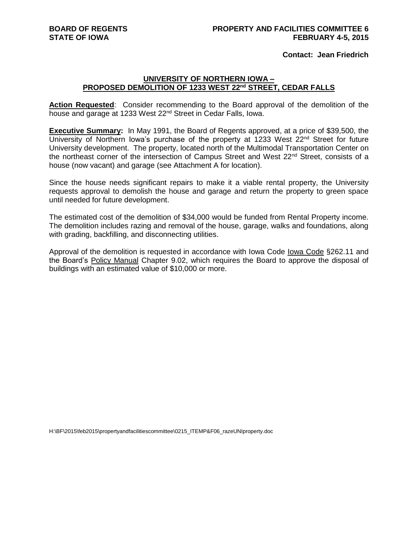## **Contact: Jean Friedrich**

## **UNIVERSITY OF NORTHERN IOWA – PROPOSED DEMOLITION OF 1233 WEST 22nd STREET, CEDAR FALLS**

Action Requested: Consider recommending to the Board approval of the demolition of the house and garage at 1233 West 22<sup>nd</sup> Street in Cedar Falls, Iowa.

**Executive Summary:** In May 1991, the Board of Regents approved, at a price of \$39,500, the University of Northern Iowa's purchase of the property at 1233 West  $22^{nd}$  Street for future University development. The property, located north of the Multimodal Transportation Center on the northeast corner of the intersection of Campus Street and West 22<sup>nd</sup> Street, consists of a house (now vacant) and garage (see Attachment A for location).

Since the house needs significant repairs to make it a viable rental property, the University requests approval to demolish the house and garage and return the property to green space until needed for future development.

The estimated cost of the demolition of \$34,000 would be funded from Rental Property income. The demolition includes razing and removal of the house, garage, walks and foundations, along with grading, backfilling, and disconnecting utilities.

Approval of the demolition is requested in accordance with Iowa Code Iowa Code §262.11 and the Board's Policy Manual Chapter 9.02, which requires the Board to approve the disposal of buildings with an estimated value of \$10,000 or more.

H:\BF\2015\feb2015\propertyandfacilitiescommittee\0215\_ITEMP&F06\_razeUNIproperty.doc